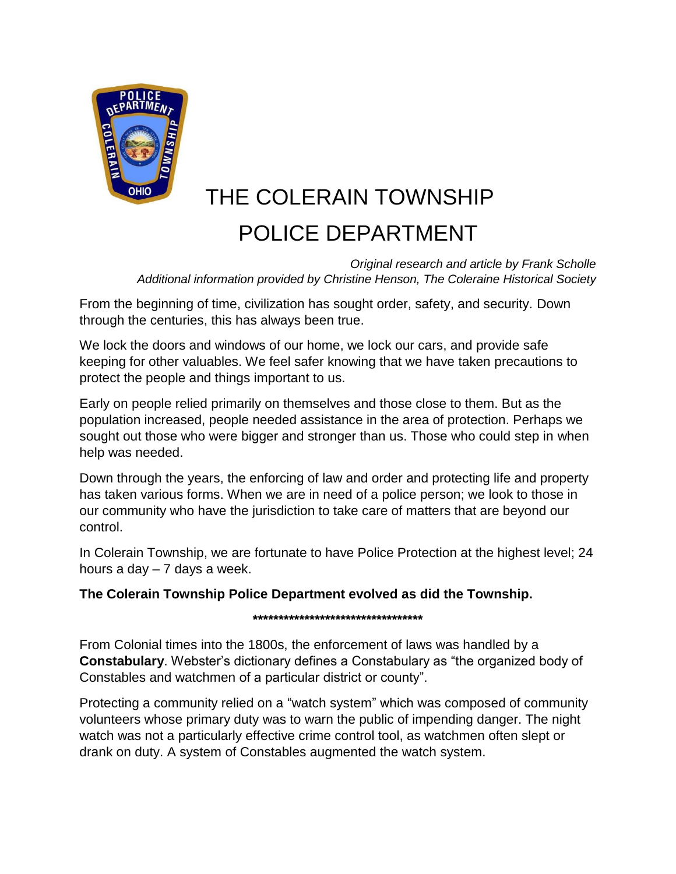

# THE COLERAIN TOWNSHIP POLICE DEPARTMENT

*Original research and article by Frank Scholle Additional information provided by Christine Henson, The Coleraine Historical Society*

From the beginning of time, civilization has sought order, safety, and security. Down through the centuries, this has always been true.

We lock the doors and windows of our home, we lock our cars, and provide safe keeping for other valuables. We feel safer knowing that we have taken precautions to protect the people and things important to us.

Early on people relied primarily on themselves and those close to them. But as the population increased, people needed assistance in the area of protection. Perhaps we sought out those who were bigger and stronger than us. Those who could step in when help was needed.

Down through the years, the enforcing of law and order and protecting life and property has taken various forms. When we are in need of a police person; we look to those in our community who have the jurisdiction to take care of matters that are beyond our control.

In Colerain Township, we are fortunate to have Police Protection at the highest level; 24 hours a day  $-7$  days a week.

## **The Colerain Township Police Department evolved as did the Township.**

**\*\*\*\*\*\*\*\*\*\*\*\*\*\*\*\*\*\*\*\*\*\*\*\*\*\*\*\*\*\*\*\*\***

From Colonial times into the 1800s, the enforcement of laws was handled by a **Constabulary**. Webster's dictionary defines a Constabulary as "the organized body of Constables and watchmen of a particular district or county".

Protecting a community relied on a "watch system" which was composed of community volunteers whose primary duty was to warn the public of impending danger. The night watch was not a particularly effective crime control tool, as watchmen often slept or drank on duty. A system of Constables augmented the watch system.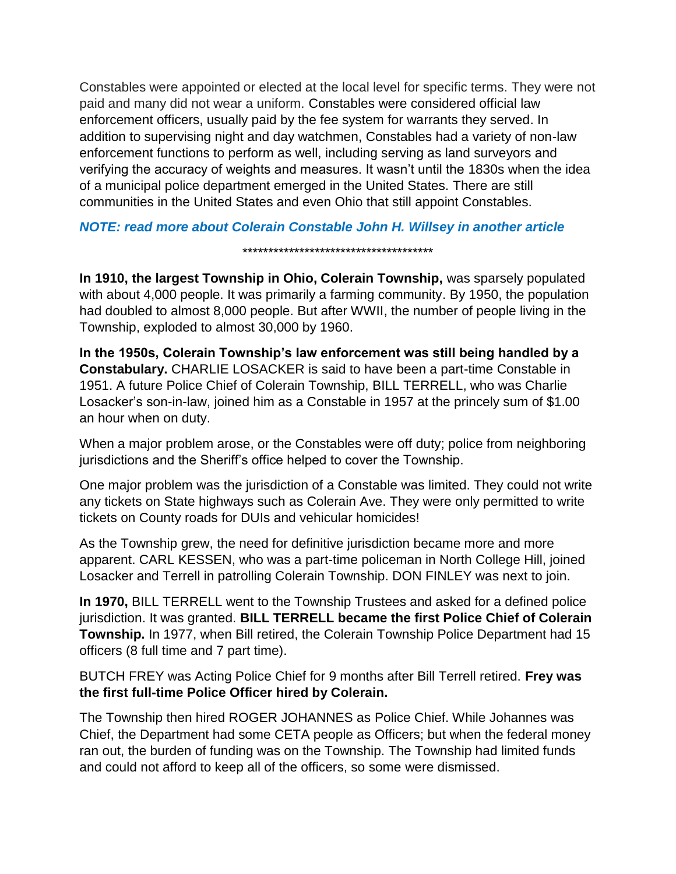Constables were appointed or elected at the local level for specific terms. They were not paid and many did not wear a uniform. Constables were considered official law enforcement officers, usually paid by the fee system for warrants they served. In addition to supervising night and day watchmen, Constables had a variety of non-law enforcement functions to perform as well, including serving as land surveyors and verifying the accuracy of weights and measures. It wasn't until the 1830s when the idea of a municipal police department emerged in the United States. There are still communities in the United States and even Ohio that still appoint Constables.

### *NOTE: read more about Colerain Constable John H. Willsey in another article*

\*\*\*\*\*\*\*\*\*\*\*\*\*\*\*\*\*\*\*\*\*\*\*\*\*\*\*\*\*\*\*\*\*\*\*\*\*

**In 1910, the largest Township in Ohio, Colerain Township,** was sparsely populated with about 4,000 people. It was primarily a farming community. By 1950, the population had doubled to almost 8,000 people. But after WWII, the number of people living in the Township, exploded to almost 30,000 by 1960.

**In the 1950s, Colerain Township's law enforcement was still being handled by a Constabulary.** CHARLIE LOSACKER is said to have been a part-time Constable in 1951. A future Police Chief of Colerain Township, BILL TERRELL, who was Charlie Losacker's son-in-law, joined him as a Constable in 1957 at the princely sum of \$1.00 an hour when on duty.

When a major problem arose, or the Constables were off duty; police from neighboring jurisdictions and the Sheriff's office helped to cover the Township.

One major problem was the jurisdiction of a Constable was limited. They could not write any tickets on State highways such as Colerain Ave. They were only permitted to write tickets on County roads for DUIs and vehicular homicides!

As the Township grew, the need for definitive jurisdiction became more and more apparent. CARL KESSEN, who was a part-time policeman in North College Hill, joined Losacker and Terrell in patrolling Colerain Township. DON FINLEY was next to join.

**In 1970,** BILL TERRELL went to the Township Trustees and asked for a defined police jurisdiction. It was granted. **BILL TERRELL became the first Police Chief of Colerain Township.** In 1977, when Bill retired, the Colerain Township Police Department had 15 officers (8 full time and 7 part time).

BUTCH FREY was Acting Police Chief for 9 months after Bill Terrell retired. **Frey was the first full-time Police Officer hired by Colerain.**

The Township then hired ROGER JOHANNES as Police Chief. While Johannes was Chief, the Department had some CETA people as Officers; but when the federal money ran out, the burden of funding was on the Township. The Township had limited funds and could not afford to keep all of the officers, so some were dismissed.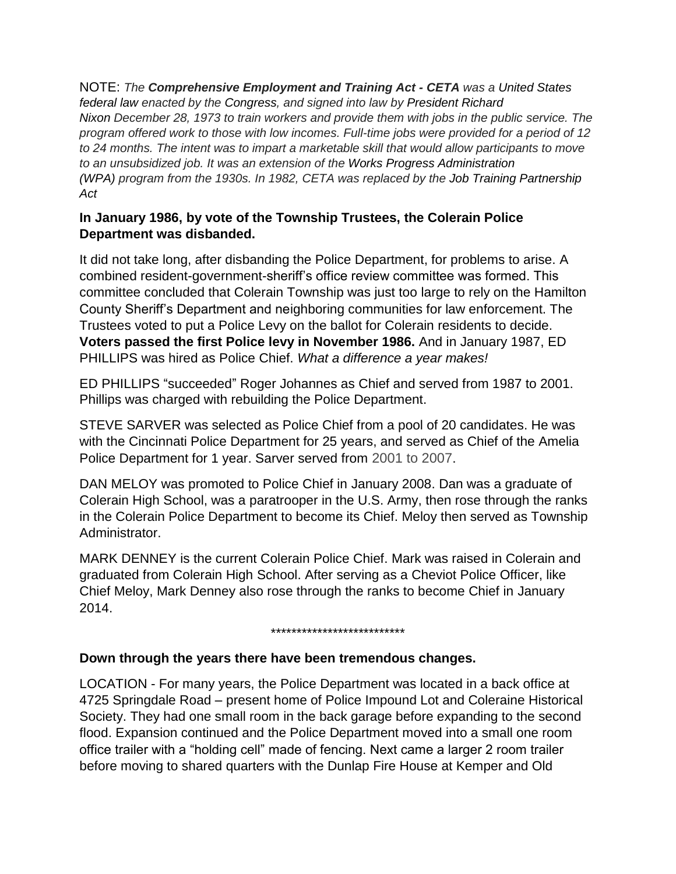NOTE: *The Comprehensive Employment and Training Act - CETA was a United States federal law enacted by the Congress, and signed into law by President Richard Nixon December 28, 1973 to train workers and provide them with jobs in the public service. The program offered work to those with low incomes. Full-time jobs were provided for a period of 12 to 24 months. The intent was to impart a marketable skill that would allow participants to move to an unsubsidized job. It was an extension of the Works Progress Administration (WPA) program from the 1930s. In 1982, CETA was replaced by the Job Training Partnership Act*

# **In January 1986, by vote of the Township Trustees, the Colerain Police Department was disbanded.**

It did not take long, after disbanding the Police Department, for problems to arise. A combined resident-government-sheriff's office review committee was formed. This committee concluded that Colerain Township was just too large to rely on the Hamilton County Sheriff's Department and neighboring communities for law enforcement. The Trustees voted to put a Police Levy on the ballot for Colerain residents to decide. **Voters passed the first Police levy in November 1986.** And in January 1987, ED PHILLIPS was hired as Police Chief. *What a difference a year makes!*

ED PHILLIPS "succeeded" Roger Johannes as Chief and served from 1987 to 2001. Phillips was charged with rebuilding the Police Department.

STEVE SARVER was selected as Police Chief from a pool of 20 candidates. He was with the Cincinnati Police Department for 25 years, and served as Chief of the Amelia Police Department for 1 year. Sarver served from 2001 to 2007.

DAN MELOY was promoted to Police Chief in January 2008. Dan was a graduate of Colerain High School, was a paratrooper in the U.S. Army, then rose through the ranks in the Colerain Police Department to become its Chief. Meloy then served as Township Administrator.

MARK DENNEY is the current Colerain Police Chief. Mark was raised in Colerain and graduated from Colerain High School. After serving as a Cheviot Police Officer, like Chief Meloy, Mark Denney also rose through the ranks to become Chief in January 2014.

#### \*\*\*\*\*\*\*\*\*\*\*\*\*\*\*\*\*\*\*\*\*\*\*\*\*\*

#### **Down through the years there have been tremendous changes.**

LOCATION - For many years, the Police Department was located in a back office at 4725 Springdale Road – present home of Police Impound Lot and Coleraine Historical Society. They had one small room in the back garage before expanding to the second flood. Expansion continued and the Police Department moved into a small one room office trailer with a "holding cell" made of fencing. Next came a larger 2 room trailer before moving to shared quarters with the Dunlap Fire House at Kemper and Old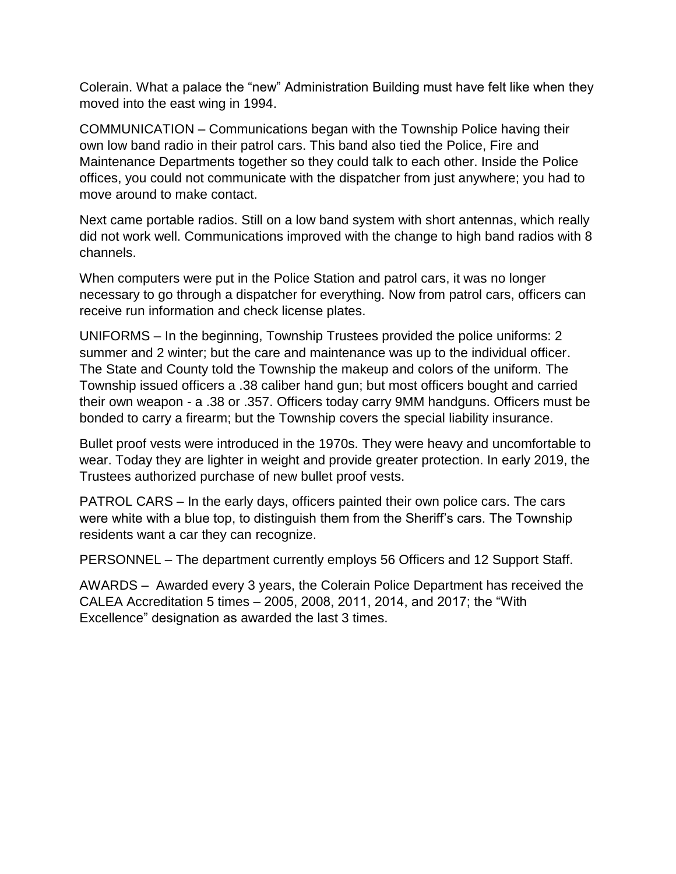Colerain. What a palace the "new" Administration Building must have felt like when they moved into the east wing in 1994.

COMMUNICATION – Communications began with the Township Police having their own low band radio in their patrol cars. This band also tied the Police, Fire and Maintenance Departments together so they could talk to each other. Inside the Police offices, you could not communicate with the dispatcher from just anywhere; you had to move around to make contact.

Next came portable radios. Still on a low band system with short antennas, which really did not work well. Communications improved with the change to high band radios with 8 channels.

When computers were put in the Police Station and patrol cars, it was no longer necessary to go through a dispatcher for everything. Now from patrol cars, officers can receive run information and check license plates.

UNIFORMS – In the beginning, Township Trustees provided the police uniforms: 2 summer and 2 winter; but the care and maintenance was up to the individual officer. The State and County told the Township the makeup and colors of the uniform. The Township issued officers a .38 caliber hand gun; but most officers bought and carried their own weapon - a .38 or .357. Officers today carry 9MM handguns. Officers must be bonded to carry a firearm; but the Township covers the special liability insurance.

Bullet proof vests were introduced in the 1970s. They were heavy and uncomfortable to wear. Today they are lighter in weight and provide greater protection. In early 2019, the Trustees authorized purchase of new bullet proof vests.

PATROL CARS – In the early days, officers painted their own police cars. The cars were white with a blue top, to distinguish them from the Sheriff's cars. The Township residents want a car they can recognize.

PERSONNEL – The department currently employs 56 Officers and 12 Support Staff.

AWARDS – Awarded every 3 years, the Colerain Police Department has received the CALEA Accreditation 5 times – 2005, 2008, 2011, 2014, and 2017; the "With Excellence" designation as awarded the last 3 times.